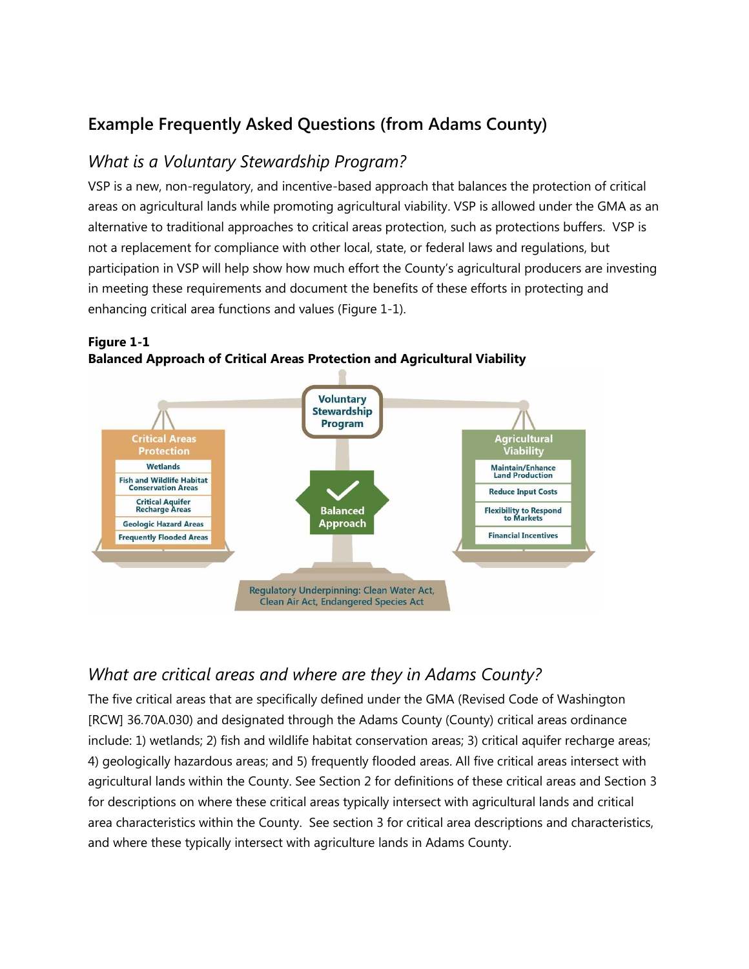### **Example Frequently Asked Questions (from Adams County)**

#### *What is a Voluntary Stewardship Program?*

VSP is a new, non-regulatory, and incentive-based approach that balances the protection of critical areas on agricultural lands while promoting agricultural viability. VSP is allowed under the GMA as an alternative to traditional approaches to critical areas protection, such as protections buffers. VSP is not a replacement for compliance with other local, state, or federal laws and regulations, but participation in VSP will help show how much effort the County's agricultural producers are investing in meeting these requirements and document the benefits of these efforts in protecting and enhancing critical area functions and values (Figure 1-1).



**Figure 1-1 Balanced Approach of Critical Areas Protection and Agricultural Viability** 

#### *What are critical areas and where are they in Adams County?*

The five critical areas that are specifically defined under the GMA (Revised Code of Washington [RCW] 36.70A.030) and designated through the Adams County (County) critical areas ordinance include: 1) wetlands; 2) fish and wildlife habitat conservation areas; 3) critical aquifer recharge areas; 4) geologically hazardous areas; and 5) frequently flooded areas. All five critical areas intersect with agricultural lands within the County. See Section 2 for definitions of these critical areas and Section 3 for descriptions on where these critical areas typically intersect with agricultural lands and critical area characteristics within the County. See section 3 for critical area descriptions and characteristics, and where these typically intersect with agriculture lands in Adams County.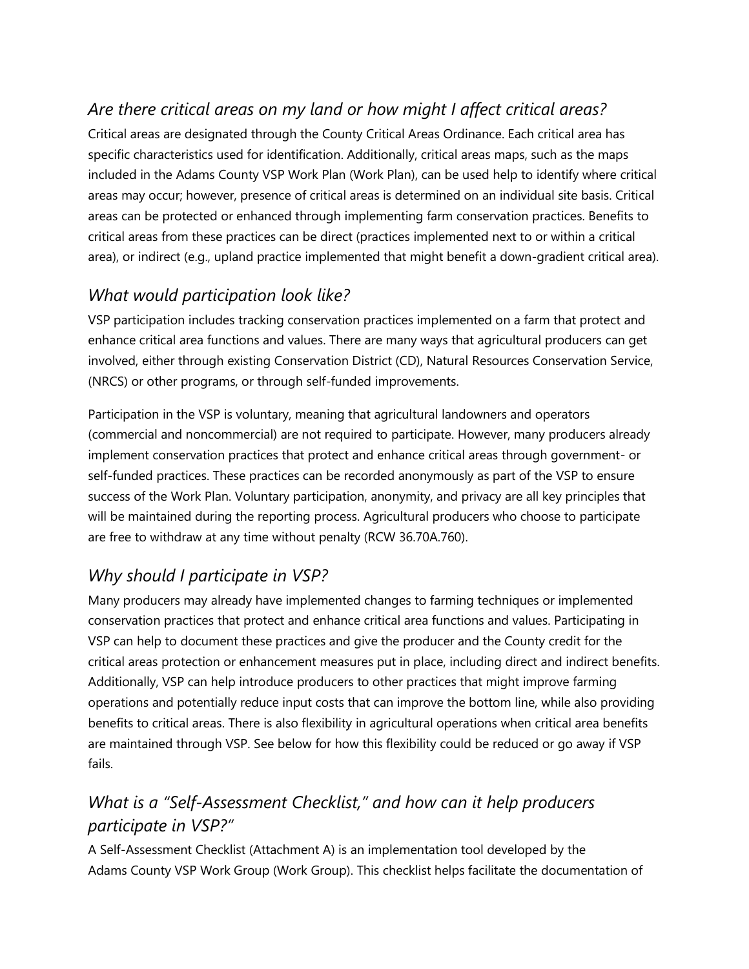## *Are there critical areas on my land or how might I affect critical areas?*

Critical areas are designated through the County Critical Areas Ordinance. Each critical area has specific characteristics used for identification. Additionally, critical areas maps, such as the maps included in the Adams County VSP Work Plan (Work Plan), can be used help to identify where critical areas may occur; however, presence of critical areas is determined on an individual site basis. Critical areas can be protected or enhanced through implementing farm conservation practices. Benefits to critical areas from these practices can be direct (practices implemented next to or within a critical area), or indirect (e.g., upland practice implemented that might benefit a down-gradient critical area).

## *What would participation look like?*

VSP participation includes tracking conservation practices implemented on a farm that protect and enhance critical area functions and values. There are many ways that agricultural producers can get involved, either through existing Conservation District (CD), Natural Resources Conservation Service, (NRCS) or other programs, or through self-funded improvements.

Participation in the VSP is voluntary, meaning that agricultural landowners and operators (commercial and noncommercial) are not required to participate. However, many producers already implement conservation practices that protect and enhance critical areas through government- or self-funded practices. These practices can be recorded anonymously as part of the VSP to ensure success of the Work Plan. Voluntary participation, anonymity, and privacy are all key principles that will be maintained during the reporting process. Agricultural producers who choose to participate are free to withdraw at any time without penalty (RCW 36.70A.760).

# *Why should I participate in VSP?*

Many producers may already have implemented changes to farming techniques or implemented conservation practices that protect and enhance critical area functions and values. Participating in VSP can help to document these practices and give the producer and the County credit for the critical areas protection or enhancement measures put in place, including direct and indirect benefits. Additionally, VSP can help introduce producers to other practices that might improve farming operations and potentially reduce input costs that can improve the bottom line, while also providing benefits to critical areas. There is also flexibility in agricultural operations when critical area benefits are maintained through VSP. See below for how this flexibility could be reduced or go away if VSP fails.

## *What is a "Self-Assessment Checklist," and how can it help producers participate in VSP?"*

A Self-Assessment Checklist (Attachment A) is an implementation tool developed by the Adams County VSP Work Group (Work Group). This checklist helps facilitate the documentation of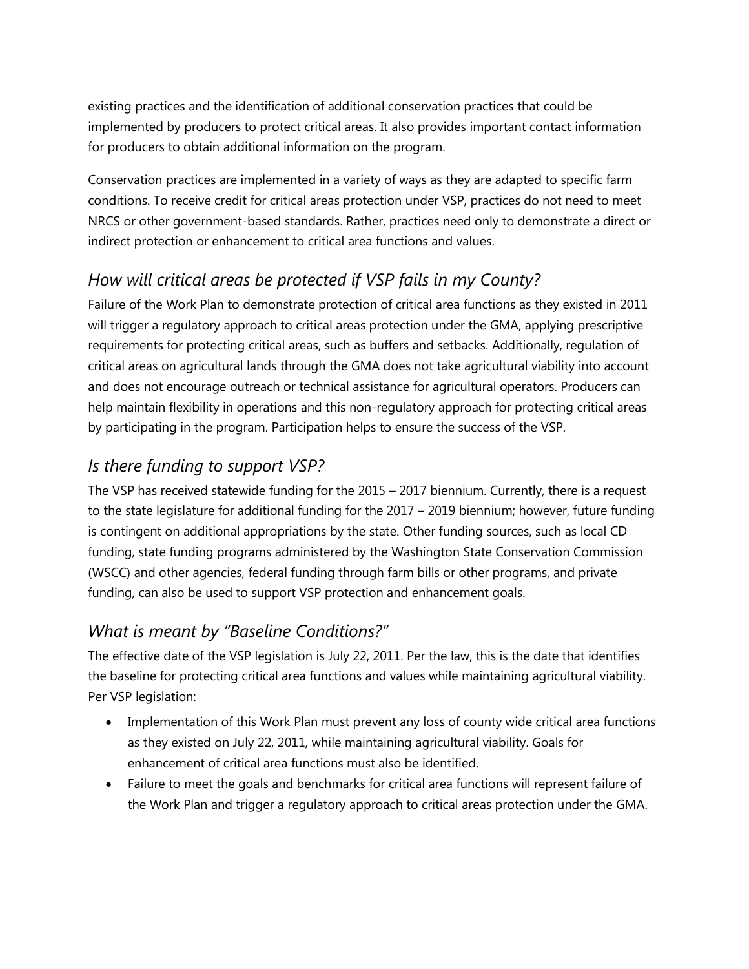existing practices and the identification of additional conservation practices that could be implemented by producers to protect critical areas. It also provides important contact information for producers to obtain additional information on the program.

Conservation practices are implemented in a variety of ways as they are adapted to specific farm conditions. To receive credit for critical areas protection under VSP, practices do not need to meet NRCS or other government-based standards. Rather, practices need only to demonstrate a direct or indirect protection or enhancement to critical area functions and values.

## *How will critical areas be protected if VSP fails in my County?*

Failure of the Work Plan to demonstrate protection of critical area functions as they existed in 2011 will trigger a regulatory approach to critical areas protection under the GMA, applying prescriptive requirements for protecting critical areas, such as buffers and setbacks. Additionally, regulation of critical areas on agricultural lands through the GMA does not take agricultural viability into account and does not encourage outreach or technical assistance for agricultural operators. Producers can help maintain flexibility in operations and this non-regulatory approach for protecting critical areas by participating in the program. Participation helps to ensure the success of the VSP.

### *Is there funding to support VSP?*

The VSP has received statewide funding for the 2015 – 2017 biennium. Currently, there is a request to the state legislature for additional funding for the 2017 – 2019 biennium; however, future funding is contingent on additional appropriations by the state. Other funding sources, such as local CD funding, state funding programs administered by the Washington State Conservation Commission (WSCC) and other agencies, federal funding through farm bills or other programs, and private funding, can also be used to support VSP protection and enhancement goals.

### *What is meant by "Baseline Conditions?"*

The effective date of the VSP legislation is July 22, 2011. Per the law, this is the date that identifies the baseline for protecting critical area functions and values while maintaining agricultural viability. Per VSP legislation:

- Implementation of this Work Plan must prevent any loss of county wide critical area functions as they existed on July 22, 2011, while maintaining agricultural viability. Goals for enhancement of critical area functions must also be identified.
- Failure to meet the goals and benchmarks for critical area functions will represent failure of the Work Plan and trigger a regulatory approach to critical areas protection under the GMA.